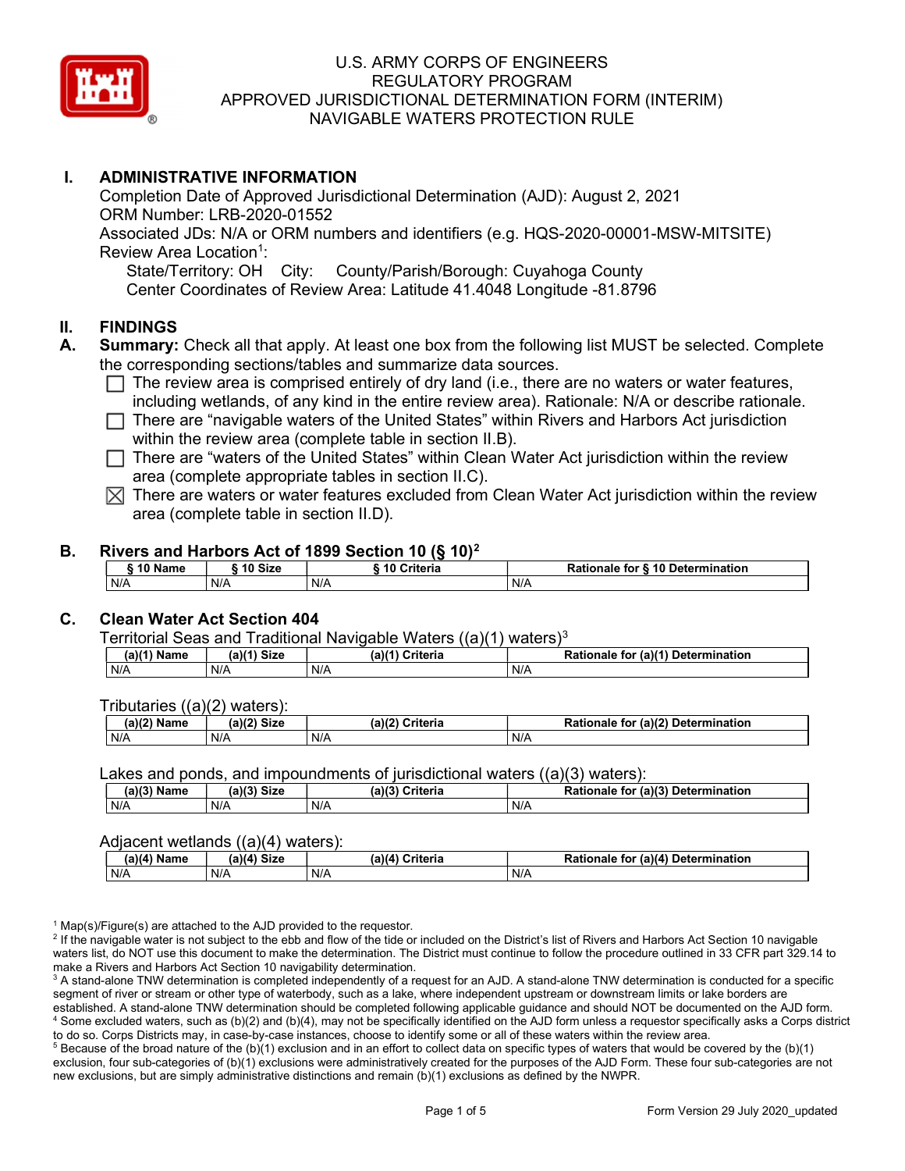

# I. ADMINISTRATIVE INFORMATION

Completion Date of Approved Jurisdictional Determination (AJD): August 2, 2021 ORM Number: LRB-2020-01552 Associated JDs: N/A or ORM numbers and identifiers (e.g. HQS-2020-00001-MSW-MITSITE) Review Area Location<sup>1</sup>: State/Territory: OH City: County/Parish/Borough: Cuyahoga County Center Coordinates of Review Area: Latitude 41.4048 Longitude -81.8796

### II. FINDINGS

- A. Summary: Check all that apply. At least one box from the following list MUST be selected. Complete the corresponding sections/tables and summarize data sources.
	- $\Box$  The review area is comprised entirely of dry land (i.e., there are no waters or water features, including wetlands, of any kind in the entire review area). Rationale: N/A or describe rationale.
	- $\Box$  There are "navigable waters of the United States" within Rivers and Harbors Act jurisdiction within the review area (complete table in section II.B).
	- $\Box$  There are "waters of the United States" within Clean Water Act jurisdiction within the review area (complete appropriate tables in section II.C).
	- $\boxtimes$  There are waters or water features excluded from Clean Water Act jurisdiction within the review area (complete table in section II.D).

#### B. Rivers and Harbors Act of 1899 Section 10 (§ 10)<sup>2</sup>

| 10 Name | 10 Size | 10 Criteria | Rationale for § 10 Determination |
|---------|---------|-------------|----------------------------------|
| N/A     | N/A     | N/A         | N/A                              |

# C. Clean Water Act Section 404

Territorial Seas and Traditional Navigable Waters  $((a)(1)$  waters)<sup>3</sup>

| $(a)$ $(4)$<br>Name | $(a)$ $(4)$<br><b>Size</b> | (a)<br>ኦriteria | (a)(1) Determination<br>tor<br>onale<br><b>Ratiu</b> |
|---------------------|----------------------------|-----------------|------------------------------------------------------|
| N/A                 | N/A                        | N/A             | N/A                                                  |

Tributaries ((a)(2) waters):

| $-1.02$<br>Name | (2)<br>$C^{\dagger}$<br>วเ∠เ | (a)/7<br>'witowio<br>nena | $\sim$ 10 <sup>2</sup><br>Determination<br>-<br>tor<br>(a)<br>naie |
|-----------------|------------------------------|---------------------------|--------------------------------------------------------------------|
| N/A             | N/A                          | N/A                       | N/A                                                                |

Lakes and ponds, and impoundments of jurisdictional waters ((a)(3) waters):

| (a)(3) Name | (a)(3)<br>Siz⊾ | (a)(2) | $(2)$ (a) $(3)$<br><b>Criteria</b><br><b>Rationale</b><br>tor | Determination |
|-------------|----------------|--------|---------------------------------------------------------------|---------------|
| N/A         | N/A            | N/f    | N/A                                                           |               |

### Adjacent wetlands ((a)(4) waters):

|                              | .<br>. |                 |                                    |  |  |  |  |  |  |  |
|------------------------------|--------|-----------------|------------------------------------|--|--|--|--|--|--|--|
| (a)(4) Size<br>$(a)(4)$ Name |        | (a)(4) Criteria | Rationale for (a)(4) Determination |  |  |  |  |  |  |  |
| N/A                          | N/A    | N/A             | N/A                                |  |  |  |  |  |  |  |

<sup>1</sup> Map(s)/Figure(s) are attached to the AJD provided to the requestor.

<sup>2</sup> If the navigable water is not subject to the ebb and flow of the tide or included on the District's list of Rivers and Harbors Act Section 10 navigable waters list, do NOT use this document to make the determination. The District must continue to follow the procedure outlined in 33 CFR part 329.14 to make a Rivers and Harbors Act Section 10 navigability determination.

 $^3$  A stand-alone TNW determination is completed independently of a request for an AJD. A stand-alone TNW determination is conducted for a specific segment of river or stream or other type of waterbody, such as a lake, where independent upstream or downstream limits or lake borders are established. A stand-alone TNW determination should be completed following applicable guidance and should NOT be documented on the AJD form. 4 Some excluded waters, such as (b)(2) and (b)(4), may not be specifically identified on the AJD form unless a requestor specifically asks a Corps district to do so. Corps Districts may, in case-by-case instances, choose to identify some or all of these waters within the review area.

 $5$  Because of the broad nature of the (b)(1) exclusion and in an effort to collect data on specific types of waters that would be covered by the (b)(1) exclusion, four sub-categories of (b)(1) exclusions were administratively created for the purposes of the AJD Form. These four sub-categories are not new exclusions, but are simply administrative distinctions and remain (b)(1) exclusions as defined by the NWPR.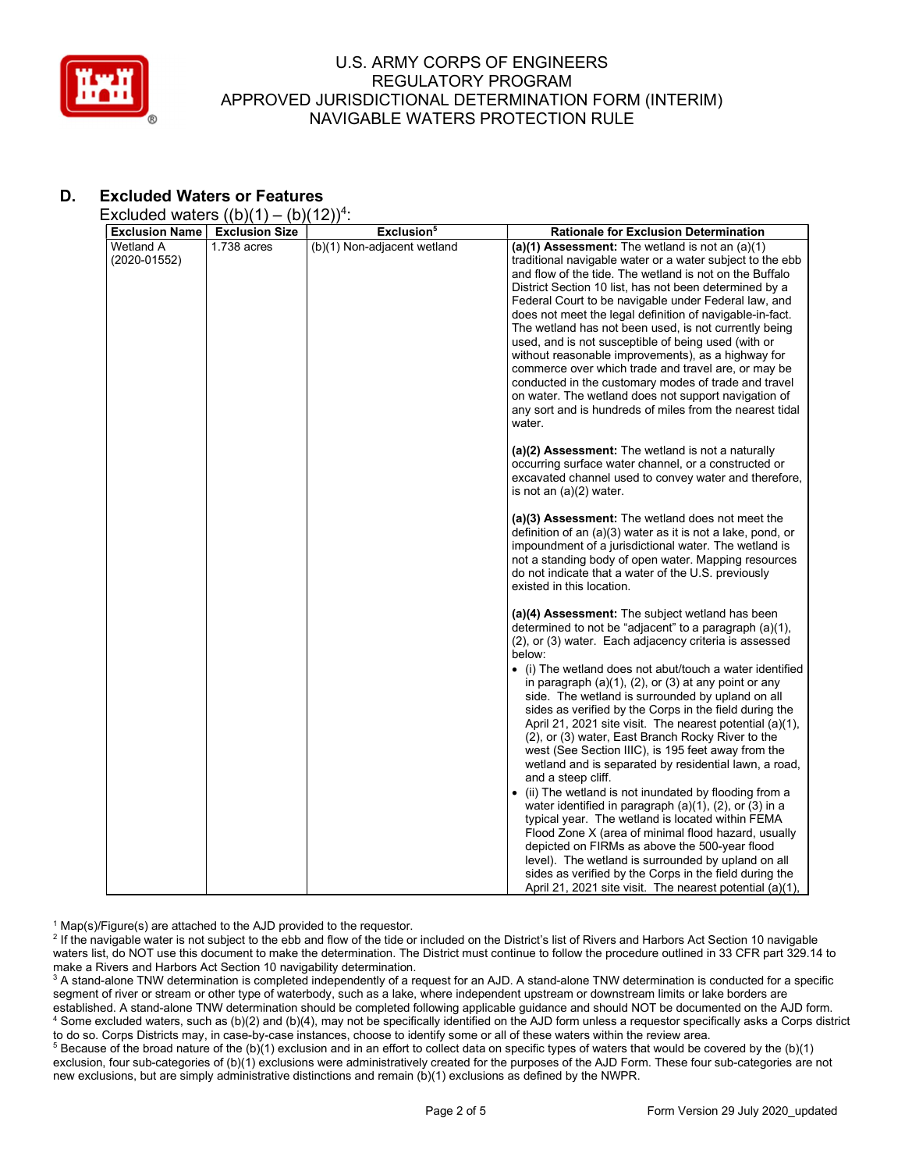

# D. Excluded Waters or Features

Excluded waters  $((b)(1) - (b)(12))^4$ :

| <b>Exclusion Name</b>       | <b>Exclusion Size</b> | Exclusion <sup>5</sup>      | <b>Rationale for Exclusion Determination</b>                                                                                                                                                                                                                                                                                                                                                                                                                                                                                                                                                                                                                                                                                                                               |
|-----------------------------|-----------------------|-----------------------------|----------------------------------------------------------------------------------------------------------------------------------------------------------------------------------------------------------------------------------------------------------------------------------------------------------------------------------------------------------------------------------------------------------------------------------------------------------------------------------------------------------------------------------------------------------------------------------------------------------------------------------------------------------------------------------------------------------------------------------------------------------------------------|
| Wetland A<br>$(2020-01552)$ | 1.738 acres           | (b)(1) Non-adjacent wetland | (a)(1) Assessment: The wetland is not an $(a)(1)$<br>traditional navigable water or a water subject to the ebb<br>and flow of the tide. The wetland is not on the Buffalo<br>District Section 10 list, has not been determined by a<br>Federal Court to be navigable under Federal law, and<br>does not meet the legal definition of navigable-in-fact.<br>The wetland has not been used, is not currently being<br>used, and is not susceptible of being used (with or<br>without reasonable improvements), as a highway for<br>commerce over which trade and travel are, or may be<br>conducted in the customary modes of trade and travel<br>on water. The wetland does not support navigation of<br>any sort and is hundreds of miles from the nearest tidal<br>water. |
|                             |                       |                             | (a)(2) Assessment: The wetland is not a naturally<br>occurring surface water channel, or a constructed or<br>excavated channel used to convey water and therefore,<br>is not an $(a)(2)$ water.                                                                                                                                                                                                                                                                                                                                                                                                                                                                                                                                                                            |
|                             |                       |                             | (a)(3) Assessment: The wetland does not meet the<br>definition of an (a)(3) water as it is not a lake, pond, or<br>impoundment of a jurisdictional water. The wetland is<br>not a standing body of open water. Mapping resources<br>do not indicate that a water of the U.S. previously<br>existed in this location.                                                                                                                                                                                                                                                                                                                                                                                                                                                       |
|                             |                       |                             | (a)(4) Assessment: The subject wetland has been<br>determined to not be "adjacent" to a paragraph (a)(1),<br>(2), or (3) water. Each adjacency criteria is assessed<br>below:                                                                                                                                                                                                                                                                                                                                                                                                                                                                                                                                                                                              |
|                             |                       |                             | $\bullet$<br>(i) The wetland does not abut/touch a water identified<br>in paragraph $(a)(1)$ , $(2)$ , or $(3)$ at any point or any<br>side. The wetland is surrounded by upland on all<br>sides as verified by the Corps in the field during the<br>April 21, 2021 site visit. The nearest potential (a)(1),<br>(2), or (3) water, East Branch Rocky River to the<br>west (See Section IIIC), is 195 feet away from the<br>wetland and is separated by residential lawn, a road,<br>and a steep cliff.                                                                                                                                                                                                                                                                    |
|                             |                       |                             | • (ii) The wetland is not inundated by flooding from a<br>water identified in paragraph (a)(1), (2), or (3) in a<br>typical year. The wetland is located within FEMA<br>Flood Zone X (area of minimal flood hazard, usually<br>depicted on FIRMs as above the 500-year flood<br>level). The wetland is surrounded by upland on all<br>sides as verified by the Corps in the field during the<br>April 21, 2021 site visit. The nearest potential (a)(1),                                                                                                                                                                                                                                                                                                                   |

<sup>1</sup> Map(s)/Figure(s) are attached to the AJD provided to the requestor.

<sup>2</sup> If the navigable water is not subject to the ebb and flow of the tide or included on the District's list of Rivers and Harbors Act Section 10 navigable waters list, do NOT use this document to make the determination. The District must continue to follow the procedure outlined in 33 CFR part 329.14 to make a Rivers and Harbors Act Section 10 navigability determination.

 $^3$  A stand-alone TNW determination is completed independently of a request for an AJD. A stand-alone TNW determination is conducted for a specific segment of river or stream or other type of waterbody, such as a lake, where independent upstream or downstream limits or lake borders are established. A stand-alone TNW determination should be completed following applicable guidance and should NOT be documented on the AJD form. 4 Some excluded waters, such as (b)(2) and (b)(4), may not be specifically identified on the AJD form unless a requestor specifically asks a Corps district to do so. Corps Districts may, in case-by-case instances, choose to identify some or all of these waters within the review area.

 $5$  Because of the broad nature of the (b)(1) exclusion and in an effort to collect data on specific types of waters that would be covered by the (b)(1) exclusion, four sub-categories of (b)(1) exclusions were administratively created for the purposes of the AJD Form. These four sub-categories are not new exclusions, but are simply administrative distinctions and remain (b)(1) exclusions as defined by the NWPR.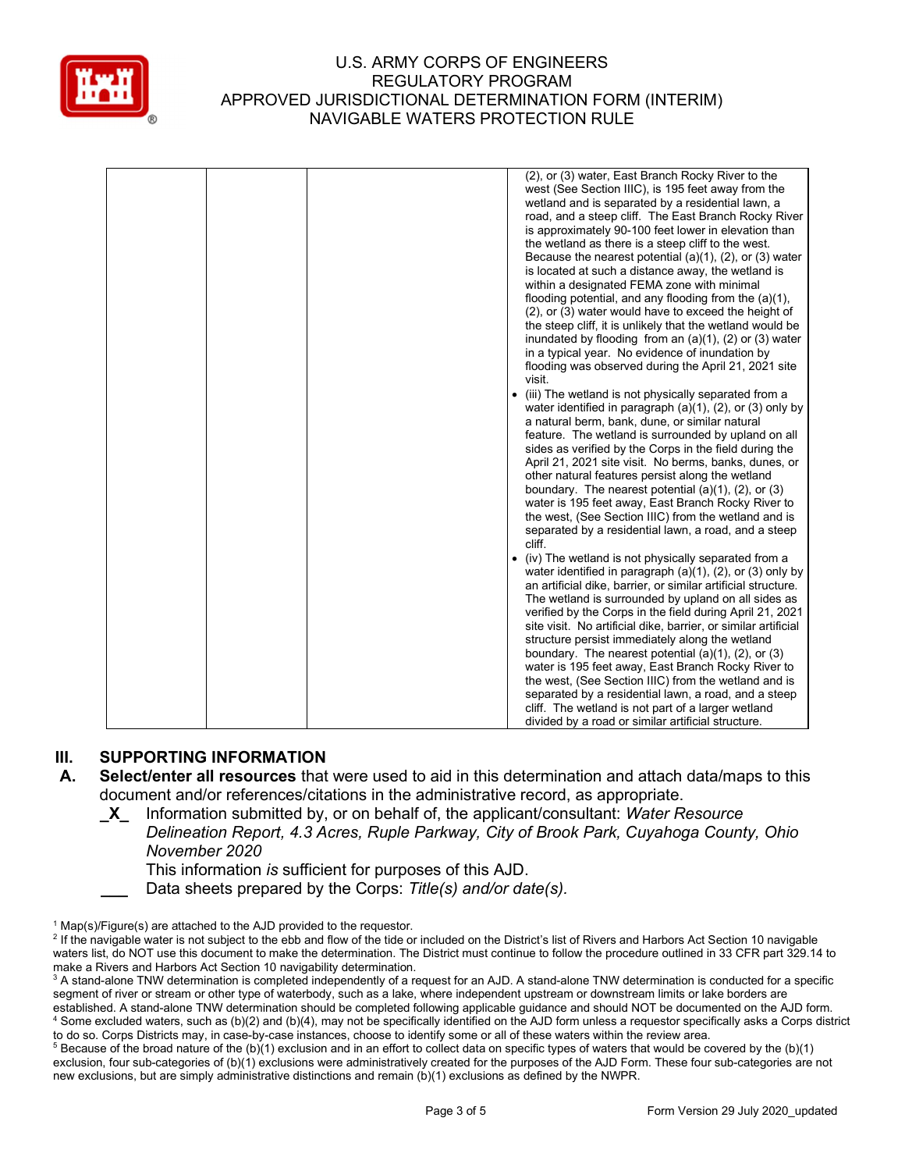

|  | (2), or (3) water, East Branch Rocky River to the<br>west (See Section IIIC), is 195 feet away from the<br>wetland and is separated by a residential lawn, a<br>road, and a steep cliff. The East Branch Rocky River<br>is approximately 90-100 feet lower in elevation than<br>the wetland as there is a steep cliff to the west.<br>Because the nearest potential $(a)(1)$ , $(2)$ , or $(3)$ water<br>is located at such a distance away, the wetland is<br>within a designated FEMA zone with minimal<br>flooding potential, and any flooding from the $(a)(1)$ ,<br>(2), or (3) water would have to exceed the height of<br>the steep cliff, it is unlikely that the wetland would be<br>inundated by flooding from an $(a)(1)$ , $(2)$ or $(3)$ water<br>in a typical year. No evidence of inundation by<br>flooding was observed during the April 21, 2021 site<br>visit.<br>(iii) The wetland is not physically separated from a<br>water identified in paragraph $(a)(1)$ , $(2)$ , or $(3)$ only by<br>a natural berm, bank, dune, or similar natural<br>feature. The wetland is surrounded by upland on all<br>sides as verified by the Corps in the field during the<br>April 21, 2021 site visit. No berms, banks, dunes, or<br>other natural features persist along the wetland<br>boundary. The nearest potential $(a)(1)$ , $(2)$ , or $(3)$<br>water is 195 feet away, East Branch Rocky River to<br>the west, (See Section IIIC) from the wetland and is<br>separated by a residential lawn, a road, and a steep<br>cliff. |
|--|----------------------------------------------------------------------------------------------------------------------------------------------------------------------------------------------------------------------------------------------------------------------------------------------------------------------------------------------------------------------------------------------------------------------------------------------------------------------------------------------------------------------------------------------------------------------------------------------------------------------------------------------------------------------------------------------------------------------------------------------------------------------------------------------------------------------------------------------------------------------------------------------------------------------------------------------------------------------------------------------------------------------------------------------------------------------------------------------------------------------------------------------------------------------------------------------------------------------------------------------------------------------------------------------------------------------------------------------------------------------------------------------------------------------------------------------------------------------------------------------------------------------------------------------|
|  | (iv) The wetland is not physically separated from a<br>$\bullet$<br>water identified in paragraph $(a)(1)$ , $(2)$ , or $(3)$ only by<br>an artificial dike, barrier, or similar artificial structure.<br>The wetland is surrounded by upland on all sides as<br>verified by the Corps in the field during April 21, 2021<br>site visit. No artificial dike, barrier, or similar artificial<br>structure persist immediately along the wetland<br>boundary. The nearest potential $(a)(1)$ , $(2)$ , or $(3)$<br>water is 195 feet away, East Branch Rocky River to<br>the west, (See Section IIIC) from the wetland and is<br>separated by a residential lawn, a road, and a steep<br>cliff. The wetland is not part of a larger wetland<br>divided by a road or similar artificial structure.                                                                                                                                                                                                                                                                                                                                                                                                                                                                                                                                                                                                                                                                                                                                              |

## III. SUPPORTING INFORMATION

- A. Select/enter all resources that were used to aid in this determination and attach data/maps to this document and/or references/citations in the administrative record, as appropriate.
	- X Information submitted by, or on behalf of, the applicant/consultant: Water Resource
		- Delineation Report, 4.3 Acres, Ruple Parkway, City of Brook Park, Cuyahoga County, Ohio November 2020

This information is sufficient for purposes of this AJD.

Data sheets prepared by the Corps: Title(s) and/or date(s).

<sup>&</sup>lt;sup>1</sup> Map(s)/Figure(s) are attached to the AJD provided to the requestor.

<sup>&</sup>lt;sup>2</sup> If the navigable water is not subject to the ebb and flow of the tide or included on the District's list of Rivers and Harbors Act Section 10 navigable waters list, do NOT use this document to make the determination. The District must continue to follow the procedure outlined in 33 CFR part 329.14 to make a Rivers and Harbors Act Section 10 navigability determination.

 $^3$  A stand-alone TNW determination is completed independently of a request for an AJD. A stand-alone TNW determination is conducted for a specific segment of river or stream or other type of waterbody, such as a lake, where independent upstream or downstream limits or lake borders are established. A stand-alone TNW determination should be completed following applicable guidance and should NOT be documented on the AJD form. 4 Some excluded waters, such as (b)(2) and (b)(4), may not be specifically identified on the AJD form unless a requestor specifically asks a Corps district to do so. Corps Districts may, in case-by-case instances, choose to identify some or all of these waters within the review area.

 $5$  Because of the broad nature of the (b)(1) exclusion and in an effort to collect data on specific types of waters that would be covered by the (b)(1) exclusion, four sub-categories of (b)(1) exclusions were administratively created for the purposes of the AJD Form. These four sub-categories are not new exclusions, but are simply administrative distinctions and remain (b)(1) exclusions as defined by the NWPR.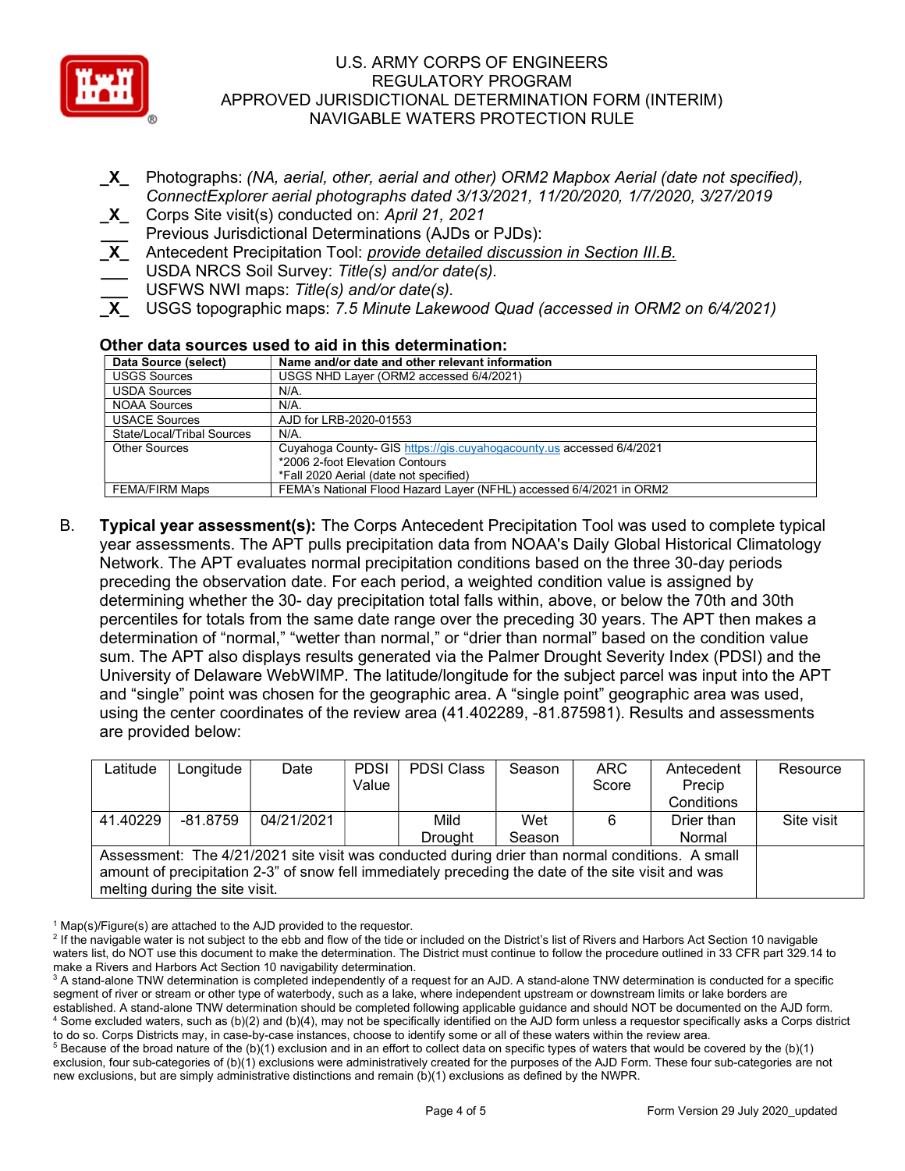

- \_X\_ Photographs: (NA, aerial, other, aerial and other) ORM2 Mapbox Aerial (date not specified), ConnectExplorer aerial photographs dated 3/13/2021, 11/20/2020, 1/7/2020, 3/27/2019
- X Corps Site visit(s) conducted on: April 21, 2021
- Previous Jurisdictional Determinations (AJDs or PJDs):
- X Antecedent Precipitation Tool: *provide detailed discussion in Section III.B.*
- USDA NRCS Soil Survey: Title(s) and/or date(s).
- USFWS NWI maps: Title(s) and/or date(s).
- USGS topographic maps: 7.5 Minute Lakewood Quad (accessed in ORM2 on 6/4/2021)

## Other data sources used to aid in this determination:

| Data Source (select)       | Name and/or date and other relevant information                      |
|----------------------------|----------------------------------------------------------------------|
| <b>USGS Sources</b>        | USGS NHD Layer (ORM2 accessed 6/4/2021)                              |
| <b>USDA Sources</b>        | N/A.                                                                 |
| <b>NOAA Sources</b>        | N/A.                                                                 |
| <b>USACE Sources</b>       | AJD for LRB-2020-01553                                               |
| State/Local/Tribal Sources | $N/A$ .                                                              |
| <b>Other Sources</b>       | Cuyahoga County- GIS https://gis.cuyahogacounty.us accessed 6/4/2021 |
|                            | *2006 2-foot Elevation Contours                                      |
|                            | *Fall 2020 Aerial (date not specified)                               |
| <b>FEMA/FIRM Maps</b>      | FEMA's National Flood Hazard Layer (NFHL) accessed 6/4/2021 in ORM2  |

B. Typical year assessment(s): The Corps Antecedent Precipitation Tool was used to complete typical year assessments. The APT pulls precipitation data from NOAA's Daily Global Historical Climatology Network. The APT evaluates normal precipitation conditions based on the three 30-day periods preceding the observation date. For each period, a weighted condition value is assigned by determining whether the 30- day precipitation total falls within, above, or below the 70th and 30th percentiles for totals from the same date range over the preceding 30 years. The APT then makes a determination of "normal," "wetter than normal," or "drier than normal" based on the condition value sum. The APT also displays results generated via the Palmer Drought Severity Index (PDSI) and the University of Delaware WebWIMP. The latitude/longitude for the subject parcel was input into the APT and "single" point was chosen for the geographic area. A "single point" geographic area was used, using the center coordinates of the review area (41.402289, -81.875981). Results and assessments are provided below:

| Latitude                                                                                           | Longitude  | Date       | <b>PDSI</b> | <b>PDSI Class</b> | Season                         | ARC.  | Antecedent | Resource   |  |  |  |  |
|----------------------------------------------------------------------------------------------------|------------|------------|-------------|-------------------|--------------------------------|-------|------------|------------|--|--|--|--|
|                                                                                                    |            |            | Value       |                   |                                | Score | Precip     |            |  |  |  |  |
|                                                                                                    |            |            |             |                   |                                |       | Conditions |            |  |  |  |  |
| 41.40229                                                                                           | $-81.8759$ | 04/21/2021 |             | Mild              | Wet                            | 6     | Drier than | Site visit |  |  |  |  |
|                                                                                                    |            |            |             | <b>Drought</b>    | Season                         |       | Normal     |            |  |  |  |  |
| Assessment: The 4/21/2021 site visit was conducted during drier than normal conditions. A small    |            |            |             |                   |                                |       |            |            |  |  |  |  |
| amount of precipitation 2-3" of snow fell immediately preceding the date of the site visit and was |            |            |             |                   |                                |       |            |            |  |  |  |  |
|                                                                                                    |            |            |             |                   | melting during the site visit. |       |            |            |  |  |  |  |

<sup>&</sup>lt;sup>1</sup> Map(s)/Figure(s) are attached to the AJD provided to the requestor.

<sup>&</sup>lt;sup>2</sup> If the navigable water is not subject to the ebb and flow of the tide or included on the District's list of Rivers and Harbors Act Section 10 navigable waters list, do NOT use this document to make the determination. The District must continue to follow the procedure outlined in 33 CFR part 329.14 to make a Rivers and Harbors Act Section 10 navigability determination.

 $^3$  A stand-alone TNW determination is completed independently of a request for an AJD. A stand-alone TNW determination is conducted for a specific segment of river or stream or other type of waterbody, such as a lake, where independent upstream or downstream limits or lake borders are established. A stand-alone TNW determination should be completed following applicable guidance and should NOT be documented on the AJD form. 4 Some excluded waters, such as (b)(2) and (b)(4), may not be specifically identified on the AJD form unless a requestor specifically asks a Corps district

to do so. Corps Districts may, in case-by-case instances, choose to identify some or all of these waters within the review area.  $5$  Because of the broad nature of the (b)(1) exclusion and in an effort to collect data on specific types of waters that would be covered by the (b)(1) exclusion, four sub-categories of (b)(1) exclusions were administratively created for the purposes of the AJD Form. These four sub-categories are not new exclusions, but are simply administrative distinctions and remain (b)(1) exclusions as defined by the NWPR.